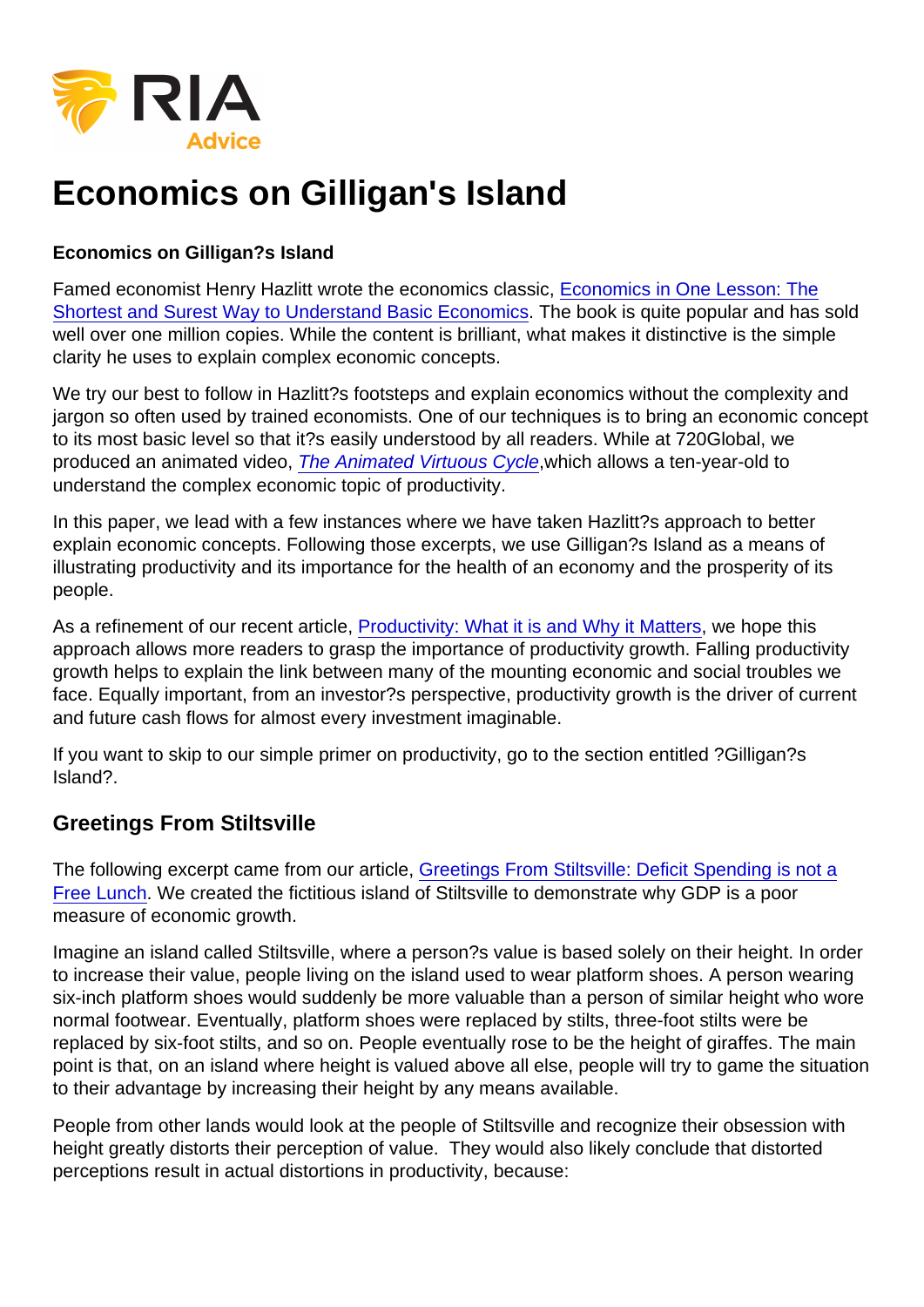# Economics on Gilligan's Island

Economics on Gilligan?s Island

Famed economist Henry Hazlitt wrote the economics classic, [Economics in One Lesson: The](https://www.amazon.com/Economics-One-Lesson-Shortest-Understand/dp/0517548232/ref=asc_df_0517548232/?tag=hyprod-20&linkCode=df0&hvadid=312143020546&hvpos=1o1&hvnetw=g&hvrand=14957311906329180031&hvpone=&hvptwo=&hvqmt=&hvdev=c&hvdvcmdl=&hvlocint=&hvlocphy=9007768&hvtargid=pla-434022124246&psc=1) [Shortest and Surest Way to Understand Basic Economics.](https://www.amazon.com/Economics-One-Lesson-Shortest-Understand/dp/0517548232/ref=asc_df_0517548232/?tag=hyprod-20&linkCode=df0&hvadid=312143020546&hvpos=1o1&hvnetw=g&hvrand=14957311906329180031&hvpone=&hvptwo=&hvqmt=&hvdev=c&hvdvcmdl=&hvlocint=&hvlocphy=9007768&hvtargid=pla-434022124246&psc=1) The book is quite popular and has sold well over one million copies. While the content is brilliant, what makes it distinctive is the simple clarity he uses to explain complex economic concepts.

We try our best to follow in Hazlitt?s footsteps and explain economics without the complexity and jargon so often used by trained economists. One of our techniques is to bring an economic concept to its most basic level so that it?s easily understood by all readers. While at 720Global, we produced an animated video, [The Animated Virtuous Cycle](https://realinvestmentadvice.com/the-animated-virtuous-cycle/),which allows a ten-year-old to understand the complex economic topic of productivity.

In this paper, we lead with a few instances where we have taken Hazlitt?s approach to better explain economic concepts. Following those excerpts, we use Gilligan?s Island as a means of illustrating productivity and its importance for the health of an economy and the prosperity of its people.

As a refinement of our recent article, [Productivity: What it is and Why it Matters](https://realinvestmentadvice.com/productivity-what-it-is-why-it-matters/), we hope this approach allows more readers to grasp the importance of productivity growth. Falling productivity growth helps to explain the link between many of the mounting economic and social troubles we face. Equally important, from an investor?s perspective, productivity growth is the driver of current and future cash flows for almost every investment imaginable.

If you want to skip to our simple primer on productivity, go to the section entitled ?Gilligan?s Island?.

## Greetings From Stiltsville

The following excerpt came from our article, [Greetings From Stiltsville: Deficit Spending is not a](https://realinvestmentadvice.com/greetings-from-stiltsville-deficit-spending-is-not-a-free-lunch/) [Free Lunch.](https://realinvestmentadvice.com/greetings-from-stiltsville-deficit-spending-is-not-a-free-lunch/) We created the fictitious island of Stiltsville to demonstrate why GDP is a poor measure of economic growth.

Imagine an island called Stiltsville, where a person?s value is based solely on their height. In order to increase their value, people living on the island used to wear platform shoes. A person wearing six-inch platform shoes would suddenly be more valuable than a person of similar height who wore normal footwear. Eventually, platform shoes were replaced by stilts, three-foot stilts were be replaced by six-foot stilts, and so on. People eventually rose to be the height of giraffes. The main point is that, on an island where height is valued above all else, people will try to game the situation to their advantage by increasing their height by any means available.

People from other lands would look at the people of Stiltsville and recognize their obsession with height greatly distorts their perception of value. They would also likely conclude that distorted perceptions result in actual distortions in productivity, because: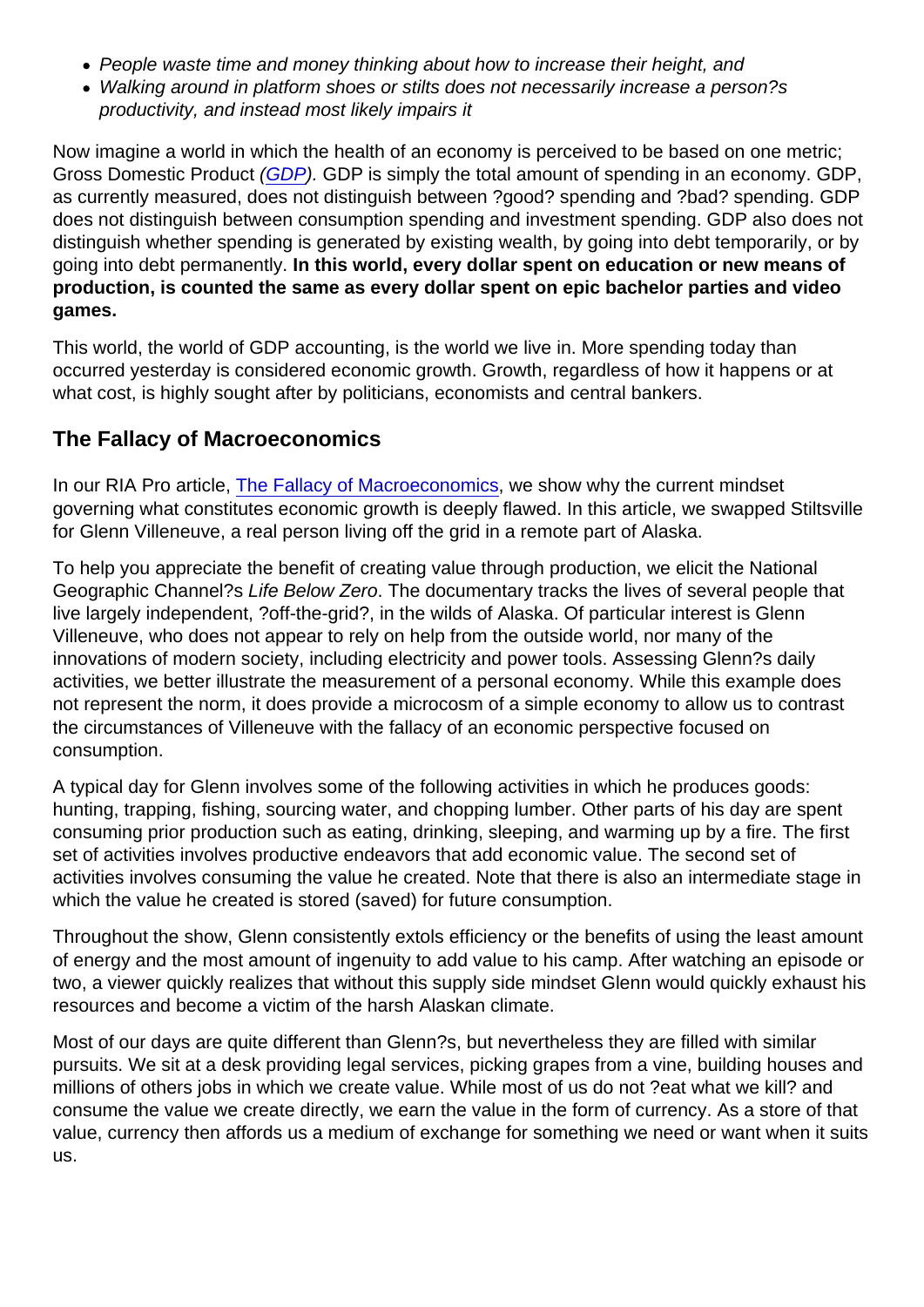- People waste time and money thinking about how to increase their height, and
- Walking around in platform shoes or stilts does not necessarily increase a person?s productivity, and instead most likely impairs it

Now imagine a world in which the health of an economy is perceived to be based on one metric; Gross Domestic Product [\(GDP](https://realinvestmentadvice.com/stock/gdp)). GDP is simply the total amount of spending in an economy. GDP, as currently measured, does not distinguish between ?good? spending and ?bad? spending. GDP does not distinguish between consumption spending and investment spending. GDP also does not distinguish whether spending is generated by existing wealth, by going into debt temporarily, or by going into debt permanently. In this world, every dollar spent on education or new means of production, is counted the same as every dollar spent on epic bachelor parties and video games.

This world, the world of GDP accounting, is the world we live in. More spending today than occurred yesterday is considered economic growth. Growth, regardless of how it happens or at what cost, is highly sought after by politicians, economists and central bankers.

#### The Fallacy of Macroeconomics

In our RIA Pro article, [The Fallacy of Macroeconomics](https://realinvestmentadvice.com/the-fallacy-of-macroeconomics-ria-pro/), we show why the current mindset governing what constitutes economic growth is deeply flawed. In this article, we swapped Stiltsville for Glenn Villeneuve, a real person living off the grid in a remote part of Alaska.

To help you appreciate the benefit of creating value through production, we elicit the National Geographic Channel?s Life Below Zero. The documentary tracks the lives of several people that live largely independent, ?off-the-grid?, in the wilds of Alaska. Of particular interest is Glenn Villeneuve, who does not appear to rely on help from the outside world, nor many of the innovations of modern society, including electricity and power tools. Assessing Glenn?s daily activities, we better illustrate the measurement of a personal economy. While this example does not represent the norm, it does provide a microcosm of a simple economy to allow us to contrast the circumstances of Villeneuve with the fallacy of an economic perspective focused on consumption.

A typical day for Glenn involves some of the following activities in which he produces goods: hunting, trapping, fishing, sourcing water, and chopping lumber. Other parts of his day are spent consuming prior production such as eating, drinking, sleeping, and warming up by a fire. The first set of activities involves productive endeavors that add economic value. The second set of activities involves consuming the value he created. Note that there is also an intermediate stage in which the value he created is stored (saved) for future consumption.

Throughout the show, Glenn consistently extols efficiency or the benefits of using the least amount of energy and the most amount of ingenuity to add value to his camp. After watching an episode or two, a viewer quickly realizes that without this supply side mindset Glenn would quickly exhaust his resources and become a victim of the harsh Alaskan climate.

Most of our days are quite different than Glenn?s, but nevertheless they are filled with similar pursuits. We sit at a desk providing legal services, picking grapes from a vine, building houses and millions of others jobs in which we create value. While most of us do not ?eat what we kill? and consume the value we create directly, we earn the value in the form of currency. As a store of that value, currency then affords us a medium of exchange for something we need or want when it suits us.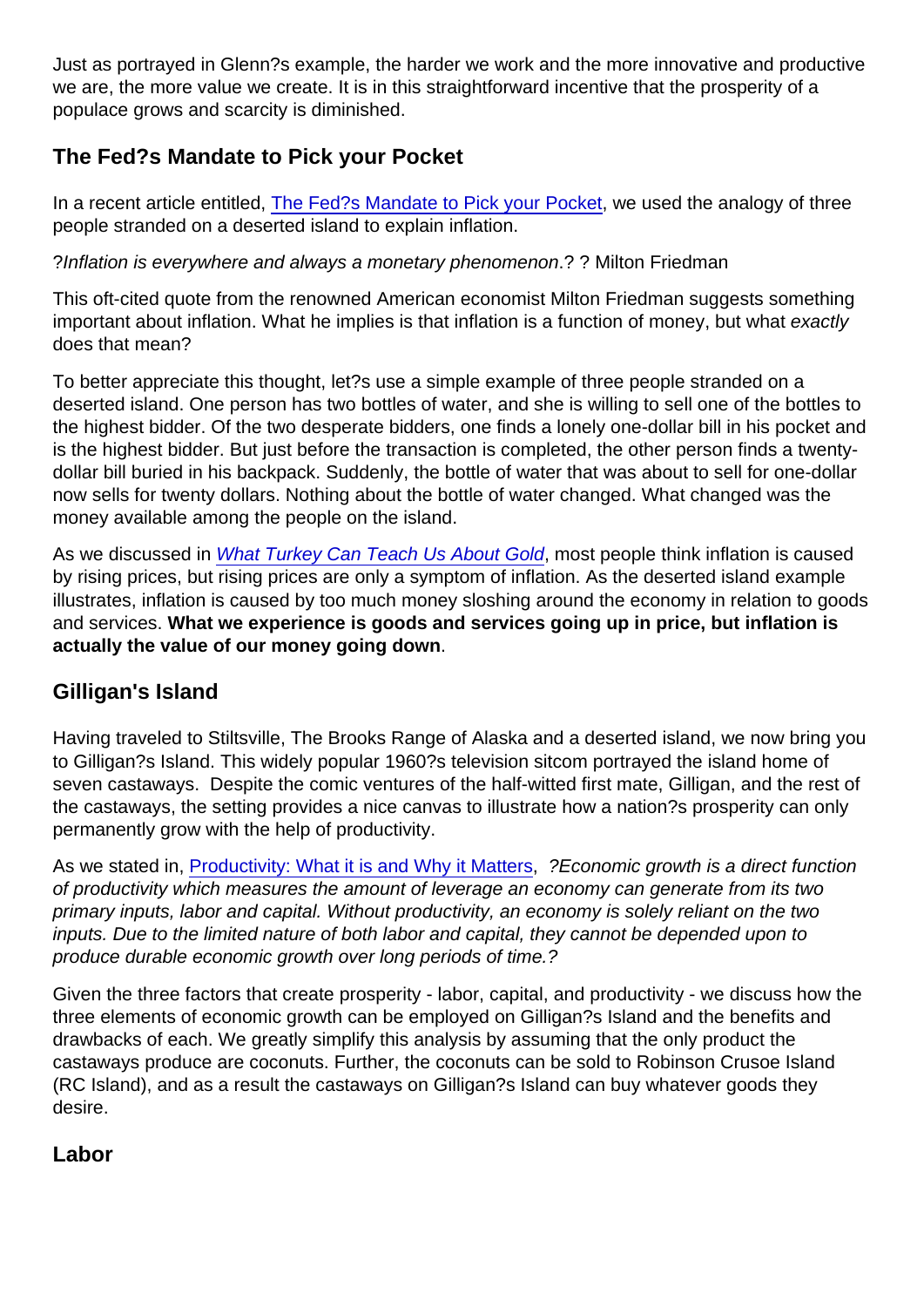Just as portrayed in Glenn?s example, the harder we work and the more innovative and productive we are, the more value we create. It is in this straightforward incentive that the prosperity of a populace grows and scarcity is diminished.

## The Fed?s Mandate to Pick your Pocket

In a recent article entitled, [The Fed?s Mandate to Pick your Pocket](https://realinvestmentadvice.com/the-feds-mandate-to-pick-your-pocket/), we used the analogy of three people stranded on a deserted island to explain inflation.

?Inflation is everywhere and always a monetary phenomenon.? ? Milton Friedman

This oft-cited quote from the renowned American economist Milton Friedman suggests something important about inflation. What he implies is that inflation is a function of money, but what exactly does that mean?

To better appreciate this thought, let?s use a simple example of three people stranded on a deserted island. One person has two bottles of water, and she is willing to sell one of the bottles to the highest bidder. Of the two desperate bidders, one finds a lonely one-dollar bill in his pocket and is the highest bidder. But just before the transaction is completed, the other person finds a twentydollar bill buried in his backpack. Suddenly, the bottle of water that was about to sell for one-dollar now sells for twenty dollars. Nothing about the bottle of water changed. What changed was the money available among the people on the island.

As we discussed in [What Turkey Can Teach Us About Gold,](https://realinvestmentadvice.com/what-turkey-can-teach-us-about-gold/) most people think inflation is caused by rising prices, but rising prices are only a symptom of inflation. As the deserted island example illustrates, inflation is caused by too much money sloshing around the economy in relation to goods and services. What we experience is goods and services going up in price, but inflation is actually the value of our money going down .

#### Gilligan's Island

Having traveled to Stiltsville, The Brooks Range of Alaska and a deserted island, we now bring you to Gilligan?s Island. This widely popular 1960?s television sitcom portrayed the island home of seven castaways. Despite the comic ventures of the half-witted first mate, Gilligan, and the rest of the castaways, the setting provides a nice canvas to illustrate how a nation?s prosperity can only permanently grow with the help of productivity.

As we stated in, [Productivity: What it is and Why it Matters](https://realinvestmentadvice.com/productivity-what-it-is-why-it-matters/), ?Economic growth is a direct function of productivity which measures the amount of leverage an economy can generate from its two primary inputs, labor and capital. Without productivity, an economy is solely reliant on the two inputs. Due to the limited nature of both labor and capital, they cannot be depended upon to produce durable economic growth over long periods of time.?

Given the three factors that create prosperity - labor, capital, and productivity - we discuss how the three elements of economic growth can be employed on Gilligan?s Island and the benefits and drawbacks of each. We greatly simplify this analysis by assuming that the only product the castaways produce are coconuts. Further, the coconuts can be sold to Robinson Crusoe Island (RC Island), and as a result the castaways on Gilligan?s Island can buy whatever goods they desire.

Labor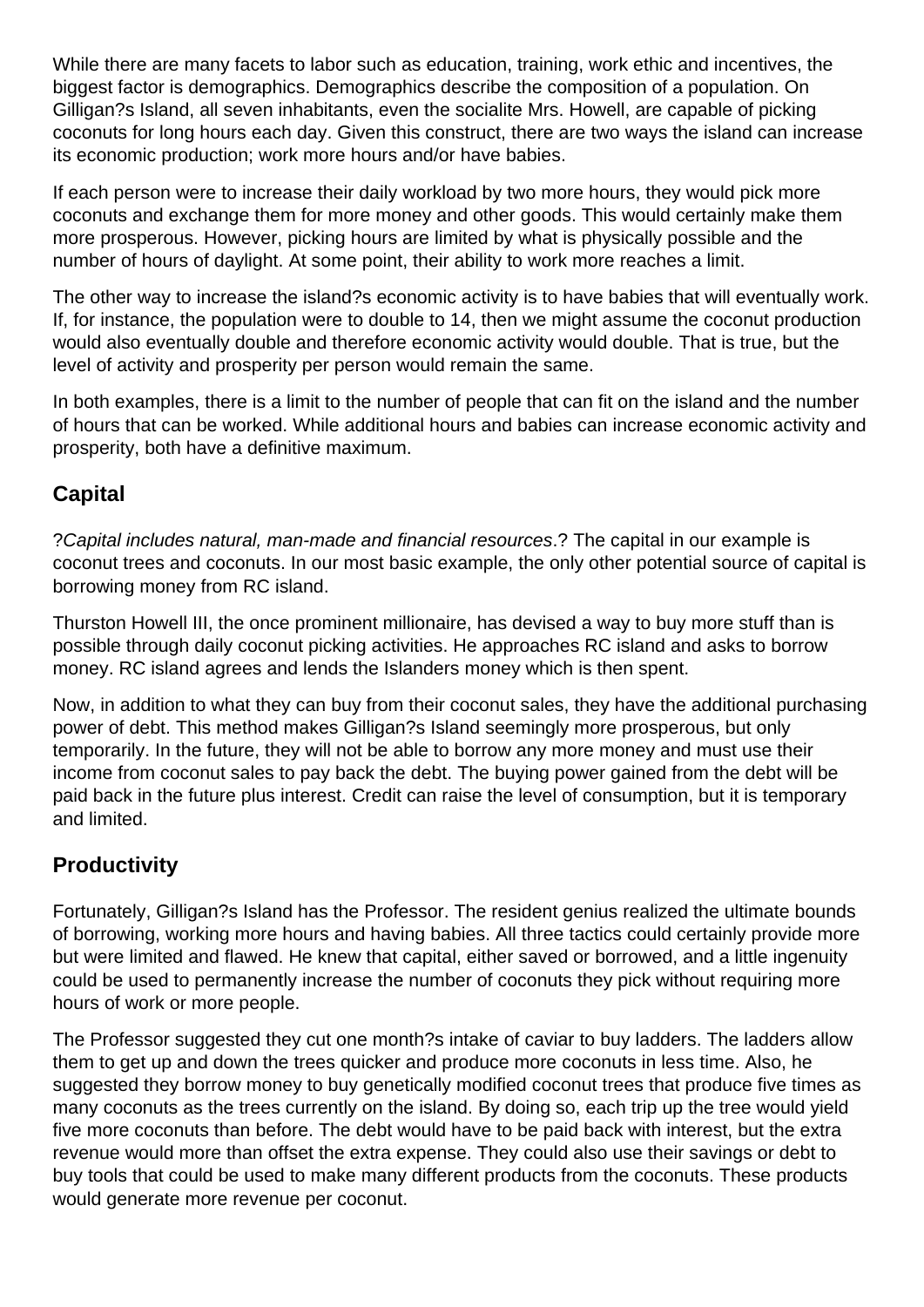While there are many facets to labor such as education, training, work ethic and incentives, the biggest factor is demographics. Demographics describe the composition of a population. On Gilligan?s Island, all seven inhabitants, even the socialite Mrs. Howell, are capable of picking coconuts for long hours each day. Given this construct, there are two ways the island can increase its economic production; work more hours and/or have babies.

If each person were to increase their daily workload by two more hours, they would pick more coconuts and exchange them for more money and other goods. This would certainly make them more prosperous. However, picking hours are limited by what is physically possible and the number of hours of daylight. At some point, their ability to work more reaches a limit.

The other way to increase the island?s economic activity is to have babies that will eventually work. If, for instance, the population were to double to 14, then we might assume the coconut production would also eventually double and therefore economic activity would double. That is true, but the level of activity and prosperity per person would remain the same.

In both examples, there is a limit to the number of people that can fit on the island and the number of hours that can be worked. While additional hours and babies can increase economic activity and prosperity, both have a definitive maximum.

# **Capital**

?Capital includes natural, man-made and financial resources.? The capital in our example is coconut trees and coconuts. In our most basic example, the only other potential source of capital is borrowing money from RC island.

Thurston Howell III, the once prominent millionaire, has devised a way to buy more stuff than is possible through daily coconut picking activities. He approaches RC island and asks to borrow money. RC island agrees and lends the Islanders money which is then spent.

Now, in addition to what they can buy from their coconut sales, they have the additional purchasing power of debt. This method makes Gilligan?s Island seemingly more prosperous, but only temporarily. In the future, they will not be able to borrow any more money and must use their income from coconut sales to pay back the debt. The buying power gained from the debt will be paid back in the future plus interest. Credit can raise the level of consumption, but it is temporary and limited.

# **Productivity**

Fortunately, Gilligan?s Island has the Professor. The resident genius realized the ultimate bounds of borrowing, working more hours and having babies. All three tactics could certainly provide more but were limited and flawed. He knew that capital, either saved or borrowed, and a little ingenuity could be used to permanently increase the number of coconuts they pick without requiring more hours of work or more people.

The Professor suggested they cut one month?s intake of caviar to buy ladders. The ladders allow them to get up and down the trees quicker and produce more coconuts in less time. Also, he suggested they borrow money to buy genetically modified coconut trees that produce five times as many coconuts as the trees currently on the island. By doing so, each trip up the tree would yield five more coconuts than before. The debt would have to be paid back with interest, but the extra revenue would more than offset the extra expense. They could also use their savings or debt to buy tools that could be used to make many different products from the coconuts. These products would generate more revenue per coconut.